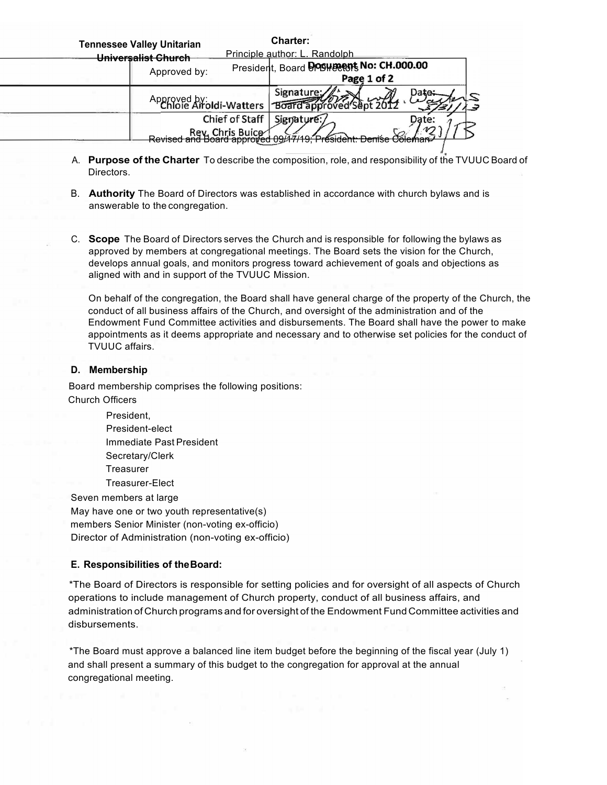| <b>Tennessee Valley Unitarian</b>  | <b>Charter:</b>                                            |
|------------------------------------|------------------------------------------------------------|
| Universalist Church                | Principle author: L. Randolph                              |
| Approved by:                       | President, Board DOSHERRIS No: CH.000.00<br>Page 1 of 2    |
|                                    | Signature:<br>Approved by: Idi-Watters   Board approved SI |
| Chief of Staff<br>Rev. Chris Buice | Signature:<br>Date:                                        |
| Revised and Board approved U9#     | Denise Coleman                                             |

- A. **Purpose of the Charter** To describe the composition, role, and responsibility of the TVUUC Board of Directors.
- B. **Authority** The Board of Directors was established in accordance with church bylaws and is answerable to the congregation.
- C. **Scope** The Board of Directors serves the Church and is responsible for following the bylaws as approved by members at congregational meetings. The Board sets the vision for the Church, develops annual goals, and monitors progress toward achievement of goals and objections as aligned with and in support of the TVUUC Mission.

On behalf of the congregation, the Board shall have general charge of the property of the Church, the conduct of all business affairs of the Church, and oversight of the administration and of the Endowment Fund Committee activities and disbursements. The Board shall have the power to make appointments as it deems appropriate and necessary and to otherwise set policies for the conduct of TVUUC affairs.

## **D. Membership**

Board membership comprises the following positions: Church Officers

> President, President-elect Immediate Past President Secretary/Clerk **Treasurer** Treasurer-Elect

Seven members at large May have one or two youth representative(s) members Senior Minister (non-voting ex-officio) Director of Administration (non-voting ex-officio)

## **E. Responsibilities of theBoard:**

\*The Board of Directors is responsible for setting policies and for oversight of all aspects of Church operations to include management of Church property, conduct of all business affairs, and administration of Church programs and for oversight of the Endowment Fund Committee activities and disbursements.

\*The Board must approve a balanced line item budget before the beginning of the fiscal year (July 1) and shall present a summary of this budget to the congregation for approval at the annual congregational meeting.